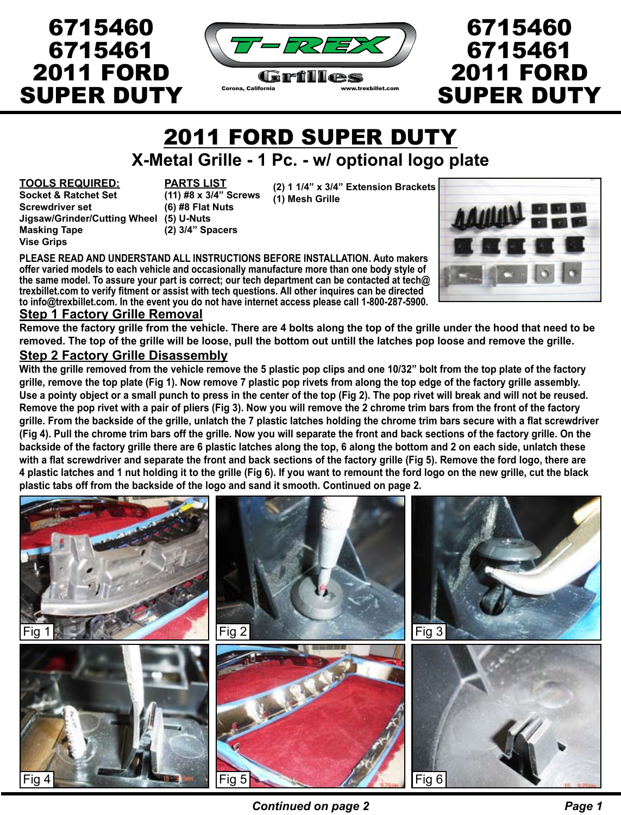

# 6715460 6715461 2011 FORD

2011 FORD SUPER DUTY

# **X-Metal Grille - 1 Pc. - w/ optional logo plate**

#### **TOOLS REQUIRED:**

**Socket & Ratchet Set Screwdriver set Jigsaw/Grinder/Cutting Wheel (5) U-Nuts Masking Tape Vise Grips**

6715460

6715461

2011 FORD

SUPER DUTY

**PARTS LIST (11) #8 x 3/4" Screws (6) #8 Flat Nuts (2) 3/4" Spacers**

**(2) 1 1/4" x 3/4" Extension Brackets (1) Mesh Grille**

**PLEASE READ AND UNDERSTAND ALL INSTRUCTIONS BEFORE INSTALLATION. Auto makers offer varied models to each vehicle and occasionally manufacture more than one body style of the same model. To assure your part is correct; our tech department can be contacted at tech@ trexbillet.com to verify fitment or assist with tech questions. All other inquires can be directed to info@trexbillet.com. In the event you do not have internet access please call 1-800-287-5900.**



#### **Step 1 Factory Grille Removal**

**Remove the factory grille from the vehicle. There are 4 bolts along the top of the grille under the hood that need to be removed. The top of the grille will be loose, pull the bottom out untill the latches pop loose and remove the grille.**

#### **Step 2 Factory Grille Disassembly**

**With the grille removed from the vehicle remove the 5 plastic pop clips and one 10/32" bolt from the top plate of the factory grille, remove the top plate (Fig 1). Now remove 7 plastic pop rivets from along the top edge of the factory grille assembly. Use a pointy object or a small punch to press in the center of the top (Fig 2). The pop rivet will break and will not be reused. Remove the pop rivet with a pair of pliers (Fig 3). Now you will remove the 2 chrome trim bars from the front of the factory grille. From the backside of the grille, unlatch the 7 plastic latches holding the chrome trim bars secure with a flat screwdriver (Fig 4). Pull the chrome trim bars off the grille. Now you will separate the front and back sections of the factory grille. On the backside of the factory grille there are 6 plastic latches along the top, 6 along the bottom and 2 on each side, unlatch these with a flat screwdriver and separate the front and back sections of the factory grille (Fig 5). Remove the ford logo, there are 4 plastic latches and 1 nut holding it to the grille (Fig 6). If you want to remount the ford logo on the new grille, cut the black plastic tabs off from the backside of the logo and sand it smooth. Continued on page 2.**

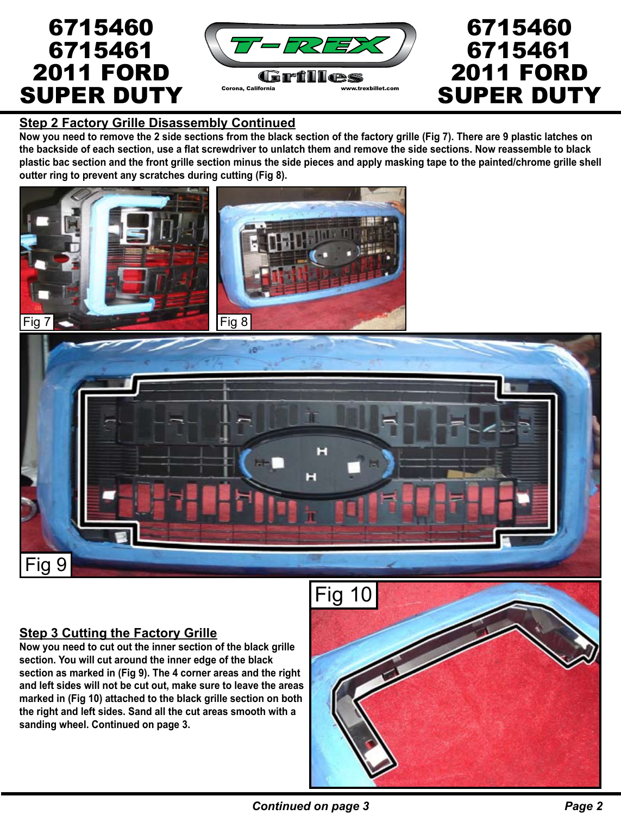

## **Step 2 Factory Grille Disassembly Continued**

**Now you need to remove the 2 side sections from the black section of the factory grille (Fig 7). There are 9 plastic latches on the backside of each section, use a flat screwdriver to unlatch them and remove the side sections. Now reassemble to black plastic bac section and the front grille section minus the side pieces and apply masking tape to the painted/chrome grille shell outter ring to prevent any scratches during cutting (Fig 8).**





# **Step 3 Cutting the Factory Grille**

**Now you need to cut out the inner section of the black grille section. You will cut around the inner edge of the black section as marked in (Fig 9). The 4 corner areas and the right and left sides will not be cut out, make sure to leave the areas marked in (Fig 10) attached to the black grille section on both the right and left sides. Sand all the cut areas smooth with a sanding wheel. Continued on page 3.**